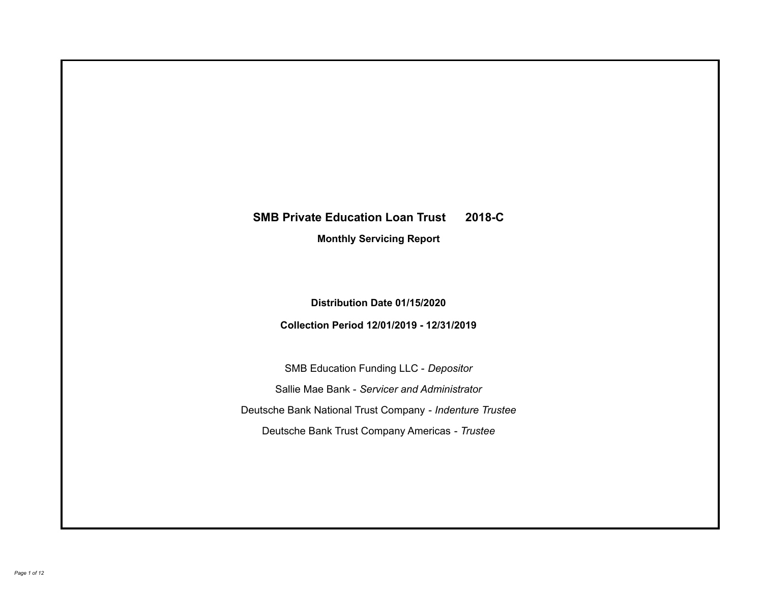# **SMB Private Education Loan Trust 2018-C Monthly Servicing Report**

**Distribution Date 01/15/2020**

**Collection Period 12/01/2019 - 12/31/2019**

SMB Education Funding LLC - *Depositor* Sallie Mae Bank - *Servicer and Administrator* Deutsche Bank National Trust Company - *Indenture Trustee* Deutsche Bank Trust Company Americas - *Trustee*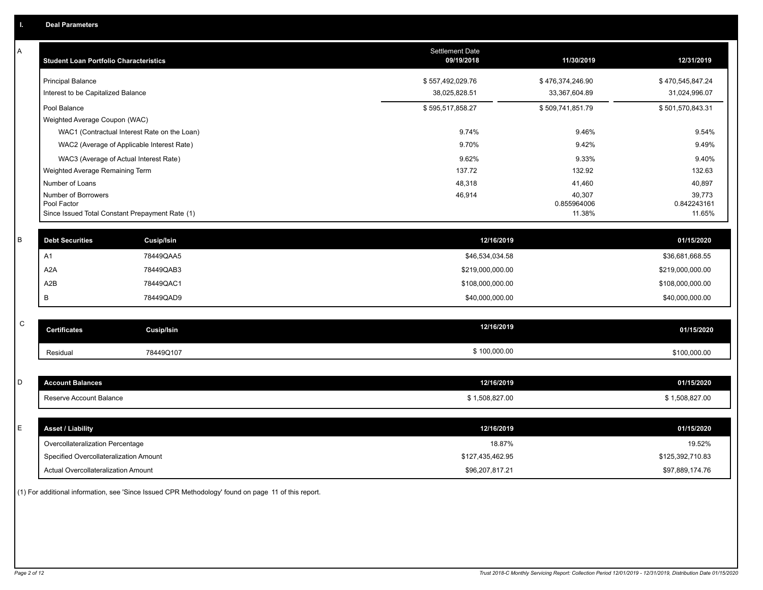| Α | <b>Student Loan Portfolio Characteristics</b>   |                   | Settlement Date<br>09/19/2018 | 11/30/2019            | 12/31/2019            |
|---|-------------------------------------------------|-------------------|-------------------------------|-----------------------|-----------------------|
|   | <b>Principal Balance</b>                        |                   | \$557,492,029.76              | \$476,374,246.90      | \$470,545,847.24      |
|   | Interest to be Capitalized Balance              |                   | 38,025,828.51                 | 33,367,604.89         | 31,024,996.07         |
|   | Pool Balance                                    |                   | \$595,517,858.27              | \$509,741,851.79      | \$501,570,843.31      |
|   | Weighted Average Coupon (WAC)                   |                   |                               |                       |                       |
|   | WAC1 (Contractual Interest Rate on the Loan)    |                   | 9.74%                         | 9.46%                 | 9.54%                 |
|   | WAC2 (Average of Applicable Interest Rate)      |                   | 9.70%                         | 9.42%                 | 9.49%                 |
|   | WAC3 (Average of Actual Interest Rate)          |                   | 9.62%                         | 9.33%                 | 9.40%                 |
|   | Weighted Average Remaining Term                 |                   | 137.72                        | 132.92                | 132.63                |
|   | Number of Loans                                 |                   | 48,318                        | 41,460                | 40,897                |
|   | Number of Borrowers<br>Pool Factor              |                   | 46,914                        | 40,307<br>0.855964006 | 39,773<br>0.842243161 |
|   | Since Issued Total Constant Prepayment Rate (1) |                   |                               | 11.38%                | 11.65%                |
|   |                                                 |                   |                               |                       |                       |
| B | <b>Debt Securities</b>                          | Cusip/Isin        | 12/16/2019                    |                       | 01/15/2020            |
|   | A <sub>1</sub>                                  | 78449QAA5         | \$46,534,034.58               |                       | \$36,681,668.55       |
|   | A <sub>2</sub> A                                | 78449QAB3         | \$219,000,000.00              |                       | \$219,000,000.00      |
|   | A2B                                             | 78449QAC1         | \$108,000,000.00              |                       | \$108,000,000.00      |
|   | В                                               | 78449QAD9         | \$40,000,000.00               |                       | \$40,000,000.00       |
|   |                                                 |                   |                               |                       |                       |
| C | <b>Certificates</b>                             | <b>Cusip/Isin</b> | 12/16/2019                    |                       | 01/15/2020            |
|   | Residual                                        | 78449Q107         | \$100,000.00                  |                       | \$100,000.00          |
|   |                                                 |                   |                               |                       |                       |
| D | <b>Account Balances</b>                         |                   | 12/16/2019                    |                       | 01/15/2020            |
|   | Reserve Account Balance                         |                   | \$1,508,827.00                |                       | \$1,508,827.00        |
|   |                                                 |                   |                               |                       |                       |
| E | <b>Asset / Liability</b>                        |                   | 12/16/2019                    |                       | 01/15/2020            |
|   | Overcollateralization Percentage                |                   | 18.87%                        |                       | 19.52%                |
|   | Specified Overcollateralization Amount          |                   | \$127,435,462.95              |                       | \$125,392,710.83      |
|   | Actual Overcollateralization Amount             |                   | \$96,207,817.21               |                       | \$97,889,174.76       |

(1) For additional information, see 'Since Issued CPR Methodology' found on page 11 of this report.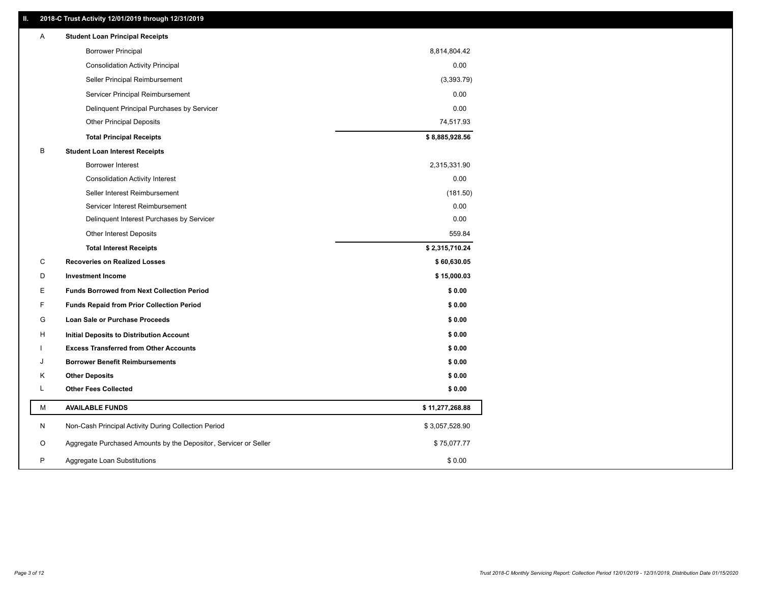### **II. 2018-C Trust Activity 12/01/2019 through 12/31/2019**

| <b>Borrower Principal</b><br>8,814,804.42<br>0.00<br><b>Consolidation Activity Principal</b><br>Seller Principal Reimbursement<br>(3,393.79)<br>0.00<br>Servicer Principal Reimbursement<br>0.00<br>Delinquent Principal Purchases by Servicer<br>74,517.93<br><b>Other Principal Deposits</b><br>\$8,885,928.56<br><b>Total Principal Receipts</b><br>B<br><b>Student Loan Interest Receipts</b><br><b>Borrower Interest</b><br>2,315,331.90<br>0.00<br><b>Consolidation Activity Interest</b><br>Seller Interest Reimbursement<br>(181.50)<br>0.00<br>Servicer Interest Reimbursement<br>0.00<br>Delinquent Interest Purchases by Servicer<br><b>Other Interest Deposits</b><br>559.84<br>\$2,315,710.24<br><b>Total Interest Receipts</b><br>C<br><b>Recoveries on Realized Losses</b><br>\$60,630.05<br>D<br><b>Investment Income</b><br>\$15,000.03<br>Е<br><b>Funds Borrowed from Next Collection Period</b><br>\$0.00<br>F<br><b>Funds Repaid from Prior Collection Period</b><br>\$0.00<br>G<br>\$0.00<br>Loan Sale or Purchase Proceeds<br>\$0.00<br>H<br>Initial Deposits to Distribution Account<br>\$0.00<br><b>Excess Transferred from Other Accounts</b><br><b>Borrower Benefit Reimbursements</b><br>\$0.00<br>J<br>Κ<br><b>Other Deposits</b><br>\$0.00<br>L<br><b>Other Fees Collected</b><br>\$0.00<br>М<br><b>AVAILABLE FUNDS</b><br>\$11,277,268.88<br>N<br>Non-Cash Principal Activity During Collection Period<br>\$3,057,528.90<br>Aggregate Purchased Amounts by the Depositor, Servicer or Seller<br>\$75,077.77<br>O<br>P<br>\$0.00<br>Aggregate Loan Substitutions | Α | <b>Student Loan Principal Receipts</b> |  |
|-----------------------------------------------------------------------------------------------------------------------------------------------------------------------------------------------------------------------------------------------------------------------------------------------------------------------------------------------------------------------------------------------------------------------------------------------------------------------------------------------------------------------------------------------------------------------------------------------------------------------------------------------------------------------------------------------------------------------------------------------------------------------------------------------------------------------------------------------------------------------------------------------------------------------------------------------------------------------------------------------------------------------------------------------------------------------------------------------------------------------------------------------------------------------------------------------------------------------------------------------------------------------------------------------------------------------------------------------------------------------------------------------------------------------------------------------------------------------------------------------------------------------------------------------------------------------------------------------|---|----------------------------------------|--|
|                                                                                                                                                                                                                                                                                                                                                                                                                                                                                                                                                                                                                                                                                                                                                                                                                                                                                                                                                                                                                                                                                                                                                                                                                                                                                                                                                                                                                                                                                                                                                                                               |   |                                        |  |
|                                                                                                                                                                                                                                                                                                                                                                                                                                                                                                                                                                                                                                                                                                                                                                                                                                                                                                                                                                                                                                                                                                                                                                                                                                                                                                                                                                                                                                                                                                                                                                                               |   |                                        |  |
|                                                                                                                                                                                                                                                                                                                                                                                                                                                                                                                                                                                                                                                                                                                                                                                                                                                                                                                                                                                                                                                                                                                                                                                                                                                                                                                                                                                                                                                                                                                                                                                               |   |                                        |  |
|                                                                                                                                                                                                                                                                                                                                                                                                                                                                                                                                                                                                                                                                                                                                                                                                                                                                                                                                                                                                                                                                                                                                                                                                                                                                                                                                                                                                                                                                                                                                                                                               |   |                                        |  |
|                                                                                                                                                                                                                                                                                                                                                                                                                                                                                                                                                                                                                                                                                                                                                                                                                                                                                                                                                                                                                                                                                                                                                                                                                                                                                                                                                                                                                                                                                                                                                                                               |   |                                        |  |
|                                                                                                                                                                                                                                                                                                                                                                                                                                                                                                                                                                                                                                                                                                                                                                                                                                                                                                                                                                                                                                                                                                                                                                                                                                                                                                                                                                                                                                                                                                                                                                                               |   |                                        |  |
|                                                                                                                                                                                                                                                                                                                                                                                                                                                                                                                                                                                                                                                                                                                                                                                                                                                                                                                                                                                                                                                                                                                                                                                                                                                                                                                                                                                                                                                                                                                                                                                               |   |                                        |  |
|                                                                                                                                                                                                                                                                                                                                                                                                                                                                                                                                                                                                                                                                                                                                                                                                                                                                                                                                                                                                                                                                                                                                                                                                                                                                                                                                                                                                                                                                                                                                                                                               |   |                                        |  |
|                                                                                                                                                                                                                                                                                                                                                                                                                                                                                                                                                                                                                                                                                                                                                                                                                                                                                                                                                                                                                                                                                                                                                                                                                                                                                                                                                                                                                                                                                                                                                                                               |   |                                        |  |
|                                                                                                                                                                                                                                                                                                                                                                                                                                                                                                                                                                                                                                                                                                                                                                                                                                                                                                                                                                                                                                                                                                                                                                                                                                                                                                                                                                                                                                                                                                                                                                                               |   |                                        |  |
|                                                                                                                                                                                                                                                                                                                                                                                                                                                                                                                                                                                                                                                                                                                                                                                                                                                                                                                                                                                                                                                                                                                                                                                                                                                                                                                                                                                                                                                                                                                                                                                               |   |                                        |  |
|                                                                                                                                                                                                                                                                                                                                                                                                                                                                                                                                                                                                                                                                                                                                                                                                                                                                                                                                                                                                                                                                                                                                                                                                                                                                                                                                                                                                                                                                                                                                                                                               |   |                                        |  |
|                                                                                                                                                                                                                                                                                                                                                                                                                                                                                                                                                                                                                                                                                                                                                                                                                                                                                                                                                                                                                                                                                                                                                                                                                                                                                                                                                                                                                                                                                                                                                                                               |   |                                        |  |
|                                                                                                                                                                                                                                                                                                                                                                                                                                                                                                                                                                                                                                                                                                                                                                                                                                                                                                                                                                                                                                                                                                                                                                                                                                                                                                                                                                                                                                                                                                                                                                                               |   |                                        |  |
|                                                                                                                                                                                                                                                                                                                                                                                                                                                                                                                                                                                                                                                                                                                                                                                                                                                                                                                                                                                                                                                                                                                                                                                                                                                                                                                                                                                                                                                                                                                                                                                               |   |                                        |  |
|                                                                                                                                                                                                                                                                                                                                                                                                                                                                                                                                                                                                                                                                                                                                                                                                                                                                                                                                                                                                                                                                                                                                                                                                                                                                                                                                                                                                                                                                                                                                                                                               |   |                                        |  |
|                                                                                                                                                                                                                                                                                                                                                                                                                                                                                                                                                                                                                                                                                                                                                                                                                                                                                                                                                                                                                                                                                                                                                                                                                                                                                                                                                                                                                                                                                                                                                                                               |   |                                        |  |
|                                                                                                                                                                                                                                                                                                                                                                                                                                                                                                                                                                                                                                                                                                                                                                                                                                                                                                                                                                                                                                                                                                                                                                                                                                                                                                                                                                                                                                                                                                                                                                                               |   |                                        |  |
|                                                                                                                                                                                                                                                                                                                                                                                                                                                                                                                                                                                                                                                                                                                                                                                                                                                                                                                                                                                                                                                                                                                                                                                                                                                                                                                                                                                                                                                                                                                                                                                               |   |                                        |  |
|                                                                                                                                                                                                                                                                                                                                                                                                                                                                                                                                                                                                                                                                                                                                                                                                                                                                                                                                                                                                                                                                                                                                                                                                                                                                                                                                                                                                                                                                                                                                                                                               |   |                                        |  |
|                                                                                                                                                                                                                                                                                                                                                                                                                                                                                                                                                                                                                                                                                                                                                                                                                                                                                                                                                                                                                                                                                                                                                                                                                                                                                                                                                                                                                                                                                                                                                                                               |   |                                        |  |
|                                                                                                                                                                                                                                                                                                                                                                                                                                                                                                                                                                                                                                                                                                                                                                                                                                                                                                                                                                                                                                                                                                                                                                                                                                                                                                                                                                                                                                                                                                                                                                                               |   |                                        |  |
|                                                                                                                                                                                                                                                                                                                                                                                                                                                                                                                                                                                                                                                                                                                                                                                                                                                                                                                                                                                                                                                                                                                                                                                                                                                                                                                                                                                                                                                                                                                                                                                               |   |                                        |  |
|                                                                                                                                                                                                                                                                                                                                                                                                                                                                                                                                                                                                                                                                                                                                                                                                                                                                                                                                                                                                                                                                                                                                                                                                                                                                                                                                                                                                                                                                                                                                                                                               |   |                                        |  |
|                                                                                                                                                                                                                                                                                                                                                                                                                                                                                                                                                                                                                                                                                                                                                                                                                                                                                                                                                                                                                                                                                                                                                                                                                                                                                                                                                                                                                                                                                                                                                                                               |   |                                        |  |
|                                                                                                                                                                                                                                                                                                                                                                                                                                                                                                                                                                                                                                                                                                                                                                                                                                                                                                                                                                                                                                                                                                                                                                                                                                                                                                                                                                                                                                                                                                                                                                                               |   |                                        |  |
|                                                                                                                                                                                                                                                                                                                                                                                                                                                                                                                                                                                                                                                                                                                                                                                                                                                                                                                                                                                                                                                                                                                                                                                                                                                                                                                                                                                                                                                                                                                                                                                               |   |                                        |  |
|                                                                                                                                                                                                                                                                                                                                                                                                                                                                                                                                                                                                                                                                                                                                                                                                                                                                                                                                                                                                                                                                                                                                                                                                                                                                                                                                                                                                                                                                                                                                                                                               |   |                                        |  |
|                                                                                                                                                                                                                                                                                                                                                                                                                                                                                                                                                                                                                                                                                                                                                                                                                                                                                                                                                                                                                                                                                                                                                                                                                                                                                                                                                                                                                                                                                                                                                                                               |   |                                        |  |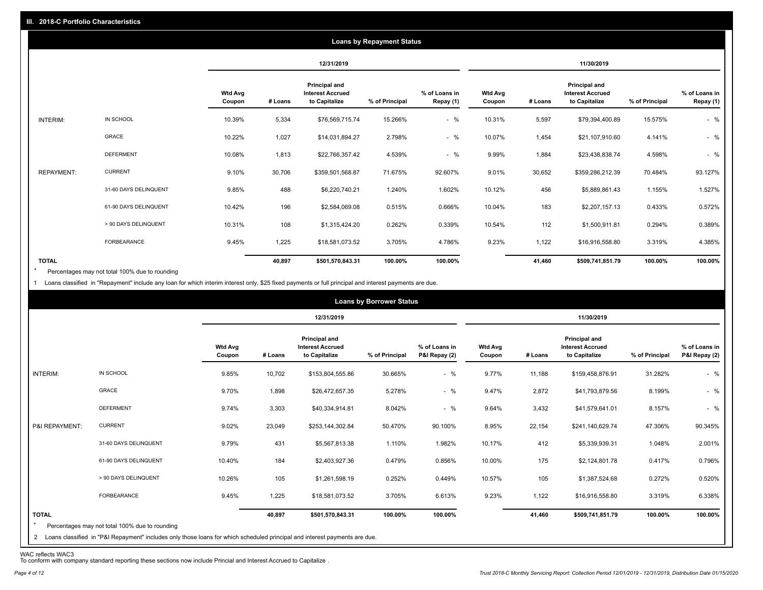|                   |                       |                          |         |                                                           | <b>Loans by Repayment Status</b> |                            |                          |         |                                                           |                |                            |
|-------------------|-----------------------|--------------------------|---------|-----------------------------------------------------------|----------------------------------|----------------------------|--------------------------|---------|-----------------------------------------------------------|----------------|----------------------------|
|                   |                       |                          |         | 12/31/2019                                                |                                  |                            |                          |         | 11/30/2019                                                |                |                            |
|                   |                       | <b>Wtd Avg</b><br>Coupon | # Loans | Principal and<br><b>Interest Accrued</b><br>to Capitalize | % of Principal                   | % of Loans in<br>Repay (1) | <b>Wtd Avg</b><br>Coupon | # Loans | Principal and<br><b>Interest Accrued</b><br>to Capitalize | % of Principal | % of Loans in<br>Repay (1) |
| INTERIM:          | IN SCHOOL             | 10.39%                   | 5,334   | \$76,569,715.74                                           | 15.266%                          | $-$ %                      | 10.31%                   | 5,597   | \$79,394,400.89                                           | 15.575%        | $-$ %                      |
|                   | GRACE                 | 10.22%                   | 1,027   | \$14,031,894.27                                           | 2.798%                           | $-$ %                      | 10.07%                   | 1,454   | \$21,107,910.60                                           | 4.141%         | $-$ %                      |
|                   | <b>DEFERMENT</b>      | 10.08%                   | 1,813   | \$22,766,357.42                                           | 4.539%                           | $-$ %                      | 9.99%                    | 1,884   | \$23,438,838.74                                           | 4.598%         | $-$ %                      |
| <b>REPAYMENT:</b> | <b>CURRENT</b>        | 9.10%                    | 30,706  | \$359,501,568.87                                          | 71.675%                          | 92.607%                    | 9.01%                    | 30,652  | \$359,286,212.39                                          | 70.484%        | 93.127%                    |
|                   | 31-60 DAYS DELINQUENT | 9.85%                    | 488     | \$6,220,740.21                                            | 1.240%                           | 1.602%                     | 10.12%                   | 456     | \$5,889,861.43                                            | 1.155%         | 1.527%                     |
|                   | 61-90 DAYS DELINQUENT | 10.42%                   | 196     | \$2,584,069.08                                            | 0.515%                           | 0.666%                     | 10.04%                   | 183     | \$2,207,157.13                                            | 0.433%         | 0.572%                     |
|                   | > 90 DAYS DELINQUENT  | 10.31%                   | 108     | \$1,315,424.20                                            | 0.262%                           | 0.339%                     | 10.54%                   | 112     | \$1,500,911.81                                            | 0.294%         | 0.389%                     |
|                   | FORBEARANCE           | 9.45%                    | 1,225   | \$18,581,073.52                                           | 3.705%                           | 4.786%                     | 9.23%                    | 1,122   | \$16,916,558.80                                           | 3.319%         | 4.385%                     |
| <b>TOTAL</b>      |                       |                          | 40,897  | \$501,570,843.31                                          | 100.00%                          | 100.00%                    |                          | 41,460  | \$509,741,851.79                                          | 100.00%        | 100.00%                    |

Percentages may not total 100% due to rounding \*

1 Loans classified in "Repayment" include any loan for which interim interest only, \$25 fixed payments or full principal and interest payments are due.

|                         |                                                                                                                              |                          |         |                                                                  | <b>Loans by Borrower Status</b> |                                |                          |         |                                                                  |                |                                |
|-------------------------|------------------------------------------------------------------------------------------------------------------------------|--------------------------|---------|------------------------------------------------------------------|---------------------------------|--------------------------------|--------------------------|---------|------------------------------------------------------------------|----------------|--------------------------------|
|                         |                                                                                                                              |                          |         | 12/31/2019                                                       |                                 |                                |                          |         | 11/30/2019                                                       |                |                                |
|                         |                                                                                                                              | <b>Wtd Avg</b><br>Coupon | # Loans | <b>Principal and</b><br><b>Interest Accrued</b><br>to Capitalize | % of Principal                  | % of Loans in<br>P&I Repay (2) | <b>Wtd Avg</b><br>Coupon | # Loans | <b>Principal and</b><br><b>Interest Accrued</b><br>to Capitalize | % of Principal | % of Loans in<br>P&I Repay (2) |
| INTERIM:                | IN SCHOOL                                                                                                                    | 9.85%                    | 10,702  | \$153,804,555.86                                                 | 30.665%                         | $-$ %                          | 9.77%                    | 11,188  | \$159,458,876.91                                                 | 31.282%        | $-$ %                          |
|                         | GRACE                                                                                                                        | 9.70%                    | 1,898   | \$26,472,657.35                                                  | 5.278%                          | $-$ %                          | 9.47%                    | 2,872   | \$41,793,879.56                                                  | 8.199%         | $-$ %                          |
|                         | <b>DEFERMENT</b>                                                                                                             | 9.74%                    | 3,303   | \$40,334,914.81                                                  | 8.042%                          | $-$ %                          | 9.64%                    | 3,432   | \$41,579,641.01                                                  | 8.157%         | $-$ %                          |
| P&I REPAYMENT:          | <b>CURRENT</b>                                                                                                               | 9.02%                    | 23,049  | \$253,144,302.84                                                 | 50.470%                         | 90.100%                        | 8.95%                    | 22,154  | \$241,140,629.74                                                 | 47.306%        | 90.345%                        |
|                         | 31-60 DAYS DELINQUENT                                                                                                        | 9.79%                    | 431     | \$5,567,813.38                                                   | 1.110%                          | 1.982%                         | 10.17%                   | 412     | \$5,339,939.31                                                   | 1.048%         | 2.001%                         |
|                         | 61-90 DAYS DELINQUENT                                                                                                        | 10.40%                   | 184     | \$2,403,927.36                                                   | 0.479%                          | 0.856%                         | 10.00%                   | 175     | \$2,124,801.78                                                   | 0.417%         | 0.796%                         |
|                         | > 90 DAYS DELINQUENT                                                                                                         | 10.26%                   | 105     | \$1,261,598.19                                                   | 0.252%                          | 0.449%                         | 10.57%                   | 105     | \$1,387,524.68                                                   | 0.272%         | 0.520%                         |
|                         | FORBEARANCE                                                                                                                  | 9.45%                    | 1,225   | \$18,581,073.52                                                  | 3.705%                          | 6.613%                         | 9.23%                    | 1,122   | \$16,916,558.80                                                  | 3.319%         | 6.338%                         |
| <b>TOTAL</b><br>$\star$ | Percentages may not total 100% due to rounding                                                                               |                          | 40,897  | \$501,570,843.31                                                 | 100.00%                         | 100.00%                        |                          | 41,460  | \$509,741,851.79                                                 | 100.00%        | 100.00%                        |
|                         | 2 Loans classified in "P&I Repayment" includes only those loans for which scheduled principal and interest payments are due. |                          |         |                                                                  |                                 |                                |                          |         |                                                                  |                |                                |

WAC reflects WAC3 To conform with company standard reporting these sections now include Princial and Interest Accrued to Capitalize .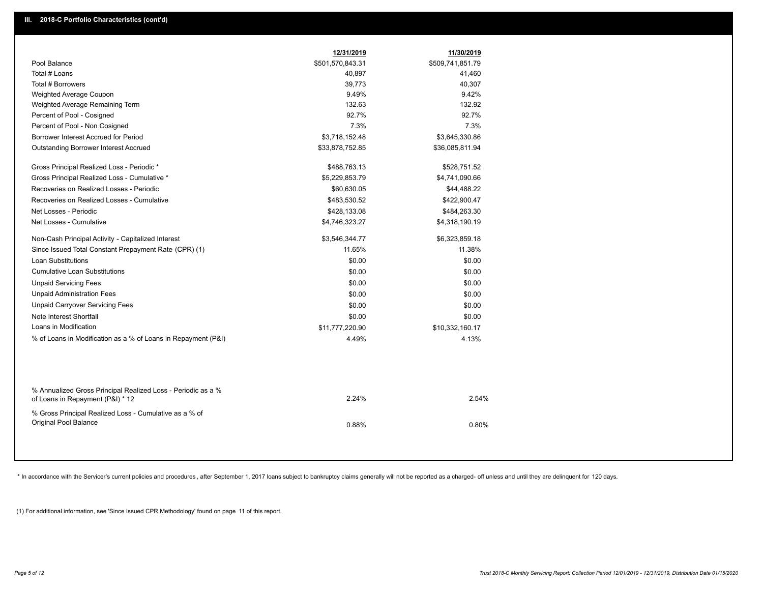|                                                                                                  | 12/31/2019       | 11/30/2019       |
|--------------------------------------------------------------------------------------------------|------------------|------------------|
| Pool Balance                                                                                     | \$501,570,843.31 | \$509,741,851.79 |
| Total # Loans                                                                                    | 40,897           | 41,460           |
| Total # Borrowers                                                                                | 39,773           | 40,307           |
| Weighted Average Coupon                                                                          | 9.49%            | 9.42%            |
| Weighted Average Remaining Term                                                                  | 132.63           | 132.92           |
| Percent of Pool - Cosigned                                                                       | 92.7%            | 92.7%            |
| Percent of Pool - Non Cosigned                                                                   | 7.3%             | 7.3%             |
| Borrower Interest Accrued for Period                                                             | \$3,718,152.48   | \$3,645,330.86   |
| Outstanding Borrower Interest Accrued                                                            | \$33,878,752.85  | \$36,085,811.94  |
| Gross Principal Realized Loss - Periodic *                                                       | \$488,763.13     | \$528,751.52     |
| Gross Principal Realized Loss - Cumulative *                                                     | \$5,229,853.79   | \$4,741,090.66   |
| Recoveries on Realized Losses - Periodic                                                         | \$60,630.05      | \$44,488.22      |
| Recoveries on Realized Losses - Cumulative                                                       | \$483,530.52     | \$422,900.47     |
| Net Losses - Periodic                                                                            | \$428,133.08     | \$484,263.30     |
| Net Losses - Cumulative                                                                          | \$4,746,323.27   | \$4,318,190.19   |
| Non-Cash Principal Activity - Capitalized Interest                                               | \$3,546,344.77   | \$6,323,859.18   |
| Since Issued Total Constant Prepayment Rate (CPR) (1)                                            | 11.65%           | 11.38%           |
| Loan Substitutions                                                                               | \$0.00           | \$0.00           |
| <b>Cumulative Loan Substitutions</b>                                                             | \$0.00           | \$0.00           |
| <b>Unpaid Servicing Fees</b>                                                                     | \$0.00           | \$0.00           |
| <b>Unpaid Administration Fees</b>                                                                | \$0.00           | \$0.00           |
| <b>Unpaid Carryover Servicing Fees</b>                                                           | \$0.00           | \$0.00           |
| Note Interest Shortfall                                                                          | \$0.00           | \$0.00           |
| Loans in Modification                                                                            | \$11,777,220.90  | \$10,332,160.17  |
| % of Loans in Modification as a % of Loans in Repayment (P&I)                                    | 4.49%            | 4.13%            |
|                                                                                                  |                  |                  |
| % Annualized Gross Principal Realized Loss - Periodic as a %<br>of Loans in Repayment (P&I) * 12 | 2.24%            | 2.54%            |
| % Gross Principal Realized Loss - Cumulative as a % of<br>Original Pool Balance                  | 0.88%            | 0.80%            |
|                                                                                                  |                  |                  |

\* In accordance with the Servicer's current policies and procedures, after September 1, 2017 loans subject to bankruptcy claims generally will not be reported as a charged- off unless and until they are delinquent for 120

(1) For additional information, see 'Since Issued CPR Methodology' found on page 11 of this report.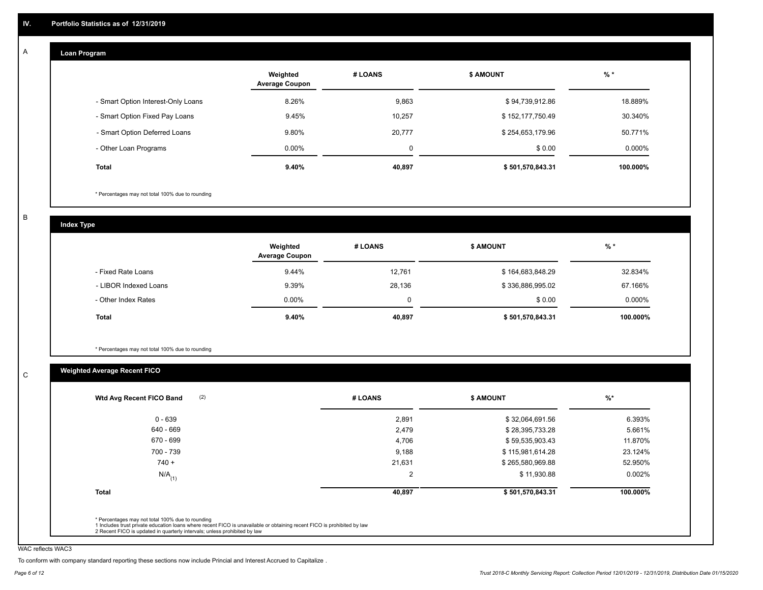#### **Loan Program**  A

|                                    | Weighted<br><b>Average Coupon</b> | # LOANS  | <b>\$ AMOUNT</b> | $%$ *     |
|------------------------------------|-----------------------------------|----------|------------------|-----------|
| - Smart Option Interest-Only Loans | 8.26%                             | 9,863    | \$94,739,912.86  | 18.889%   |
| - Smart Option Fixed Pay Loans     | 9.45%                             | 10,257   | \$152,177,750.49 | 30.340%   |
| - Smart Option Deferred Loans      | 9.80%                             | 20,777   | \$254,653,179.96 | 50.771%   |
| - Other Loan Programs              | $0.00\%$                          | $\Omega$ | \$0.00           | $0.000\%$ |
| <b>Total</b>                       | $9.40\%$                          | 40,897   | \$501,570,843.31 | 100.000%  |

\* Percentages may not total 100% due to rounding

B

C

**Index Type**

|                       | Weighted<br><b>Average Coupon</b> | # LOANS  | <b>\$ AMOUNT</b> | $%$ *    |
|-----------------------|-----------------------------------|----------|------------------|----------|
| - Fixed Rate Loans    | 9.44%                             | 12.761   | \$164,683,848.29 | 32.834%  |
| - LIBOR Indexed Loans | 9.39%                             | 28,136   | \$336,886,995.02 | 67.166%  |
| - Other Index Rates   | $0.00\%$                          | $\Omega$ | \$0.00           | 0.000%   |
| Total                 | 9.40%                             | 40,897   | \$501,570,843.31 | 100.000% |

\* Percentages may not total 100% due to rounding

## **Weighted Average Recent FICO**

| 2,891<br>2,479<br>4,706 | \$32,064,691.56<br>\$28,395,733.28<br>\$59,535,903.43 | 6.393%<br>5.661% |
|-------------------------|-------------------------------------------------------|------------------|
|                         |                                                       |                  |
|                         |                                                       |                  |
|                         |                                                       | 11.870%          |
| 9,188                   | \$115,981,614.28                                      | 23.124%          |
| 21,631                  | \$265,580,969.88                                      | 52.950%          |
| 2                       | \$11,930.88                                           | 0.002%           |
| 40,897                  | \$501,570,843.31                                      | 100.000%         |
|                         |                                                       |                  |

WAC reflects WAC3

To conform with company standard reporting these sections now include Princial and Interest Accrued to Capitalize .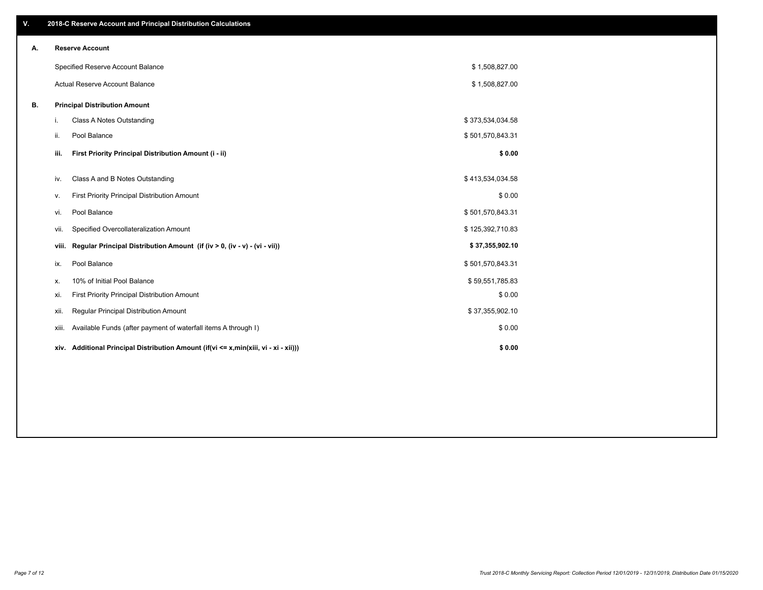| V. |       | 2018-C Reserve Account and Principal Distribution Calculations                       |                  |  |
|----|-------|--------------------------------------------------------------------------------------|------------------|--|
| А. |       | <b>Reserve Account</b>                                                               |                  |  |
|    |       | Specified Reserve Account Balance                                                    | \$1,508,827.00   |  |
|    |       | Actual Reserve Account Balance                                                       | \$1,508,827.00   |  |
| В. |       | <b>Principal Distribution Amount</b>                                                 |                  |  |
|    | i.    | Class A Notes Outstanding                                                            | \$373,534,034.58 |  |
|    | ii.   | Pool Balance                                                                         | \$501,570,843.31 |  |
|    | iii.  | First Priority Principal Distribution Amount (i - ii)                                | \$0.00           |  |
|    | iv.   | Class A and B Notes Outstanding                                                      | \$413,534,034.58 |  |
|    | v.    | First Priority Principal Distribution Amount                                         | \$0.00           |  |
|    | vi.   | Pool Balance                                                                         | \$501,570,843.31 |  |
|    | Vii.  | Specified Overcollateralization Amount                                               | \$125,392,710.83 |  |
|    | viii. | Regular Principal Distribution Amount (if (iv > 0, (iv - v) - (vi - vii))            | \$37,355,902.10  |  |
|    | ix.   | Pool Balance                                                                         | \$501,570,843.31 |  |
|    | х.    | 10% of Initial Pool Balance                                                          | \$59,551,785.83  |  |
|    | xi.   | First Priority Principal Distribution Amount                                         | \$0.00           |  |
|    | xii.  | Regular Principal Distribution Amount                                                | \$37,355,902.10  |  |
|    | xiii. | Available Funds (after payment of waterfall items A through I)                       | \$0.00           |  |
|    |       | xiv. Additional Principal Distribution Amount (if(vi <= x,min(xiii, vi - xi - xii))) | \$0.00           |  |
|    |       |                                                                                      |                  |  |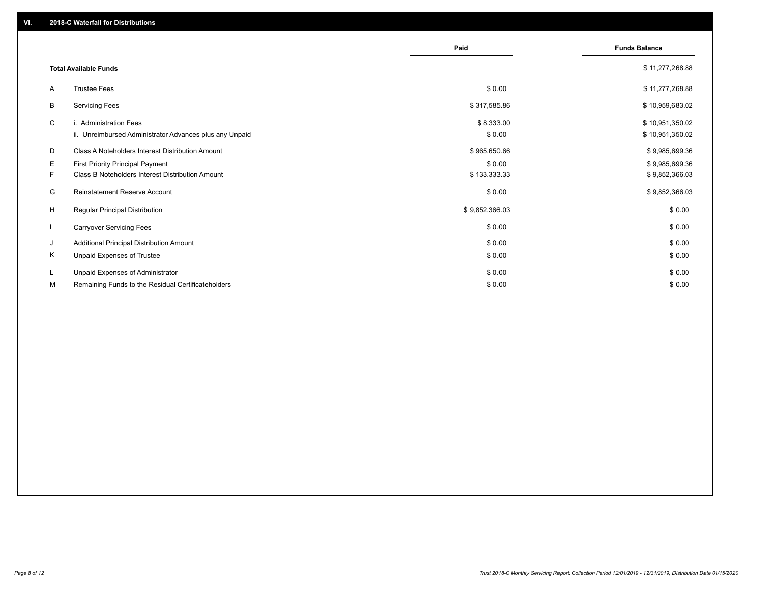|              |                                                                                   | Paid                 | <b>Funds Balance</b>               |
|--------------|-----------------------------------------------------------------------------------|----------------------|------------------------------------|
|              | <b>Total Available Funds</b>                                                      |                      | \$11,277,268.88                    |
| A            | <b>Trustee Fees</b>                                                               | \$0.00               | \$11,277,268.88                    |
| В            | <b>Servicing Fees</b>                                                             | \$317,585.86         | \$10,959,683.02                    |
| C            | i. Administration Fees<br>ii. Unreimbursed Administrator Advances plus any Unpaid | \$8,333.00<br>\$0.00 | \$10,951,350.02<br>\$10,951,350.02 |
| D            | Class A Noteholders Interest Distribution Amount                                  | \$965,650.66         | \$9,985,699.36                     |
| E.           | <b>First Priority Principal Payment</b>                                           | \$0.00               | \$9,985,699.36                     |
| F.           | Class B Noteholders Interest Distribution Amount                                  | \$133,333.33         | \$9,852,366.03                     |
| G            | Reinstatement Reserve Account                                                     | \$0.00               | \$9,852,366.03                     |
| H            | Regular Principal Distribution                                                    | \$9,852,366.03       | \$0.00                             |
| $\mathbf{I}$ | <b>Carryover Servicing Fees</b>                                                   | \$0.00               | \$0.00                             |
| J            | Additional Principal Distribution Amount                                          | \$0.00               | \$0.00                             |
| Κ            | Unpaid Expenses of Trustee                                                        | \$0.00               | \$0.00                             |
| L            | Unpaid Expenses of Administrator                                                  | \$0.00               | \$0.00                             |
| М            | Remaining Funds to the Residual Certificateholders                                | \$0.00               | \$0.00                             |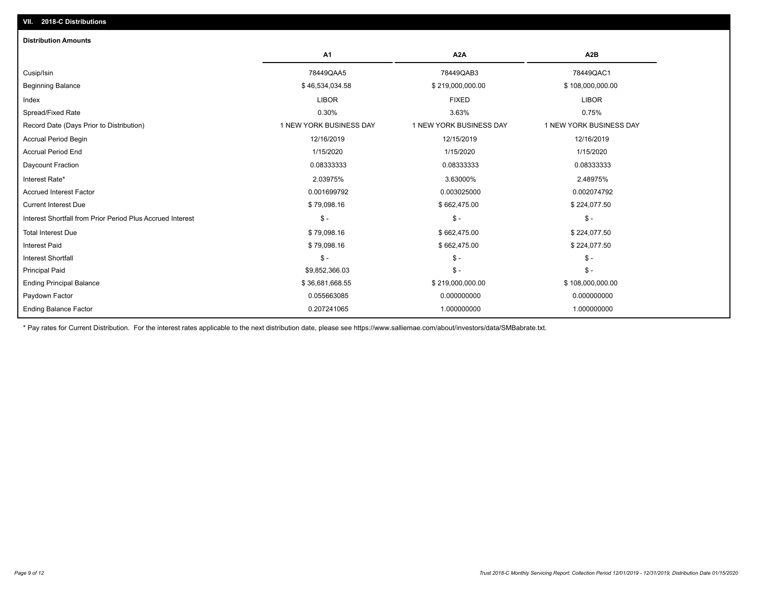| <b>Distribution Amounts</b>                                |                         |                         |                         |
|------------------------------------------------------------|-------------------------|-------------------------|-------------------------|
|                                                            | A1                      | A <sub>2</sub> A        | A <sub>2</sub> B        |
| Cusip/Isin                                                 | 78449QAA5               | 78449QAB3               | 78449QAC1               |
| <b>Beginning Balance</b>                                   | \$46,534,034.58         | \$219,000,000.00        | \$108,000,000.00        |
| Index                                                      | <b>LIBOR</b>            | <b>FIXED</b>            | <b>LIBOR</b>            |
| Spread/Fixed Rate                                          | 0.30%                   | 3.63%                   | 0.75%                   |
| Record Date (Days Prior to Distribution)                   | 1 NEW YORK BUSINESS DAY | 1 NEW YORK BUSINESS DAY | 1 NEW YORK BUSINESS DAY |
| <b>Accrual Period Begin</b>                                | 12/16/2019              | 12/15/2019              | 12/16/2019              |
| <b>Accrual Period End</b>                                  | 1/15/2020               | 1/15/2020               | 1/15/2020               |
| Daycount Fraction                                          | 0.08333333              | 0.08333333              | 0.08333333              |
| Interest Rate*                                             | 2.03975%                | 3.63000%                | 2.48975%                |
| <b>Accrued Interest Factor</b>                             | 0.001699792             | 0.003025000             | 0.002074792             |
| <b>Current Interest Due</b>                                | \$79,098.16             | \$662,475.00            | \$224,077.50            |
| Interest Shortfall from Prior Period Plus Accrued Interest | $$ -$                   | $\mathcal{S}$ -         | $\mathsf{\$}$ -         |
| <b>Total Interest Due</b>                                  | \$79,098.16             | \$662,475.00            | \$224,077.50            |
| <b>Interest Paid</b>                                       | \$79,098.16             | \$662,475.00            | \$224,077.50            |
| <b>Interest Shortfall</b>                                  | $\mathsf{\$}$ -         | $\mathsf{\$}$ -         | $\mathcal{S}$ -         |
| <b>Principal Paid</b>                                      | \$9,852,366.03          | $\frac{1}{2}$           | $\mathsf{\$}$ -         |
| <b>Ending Principal Balance</b>                            | \$36,681,668.55         | \$219,000,000.00        | \$108,000,000.00        |
| Paydown Factor                                             | 0.055663085             | 0.000000000             | 0.000000000             |
| <b>Ending Balance Factor</b>                               | 0.207241065             | 1.000000000             | 1.000000000             |

\* Pay rates for Current Distribution. For the interest rates applicable to the next distribution date, please see https://www.salliemae.com/about/investors/data/SMBabrate.txt.

**VII. 2018-C Distributions**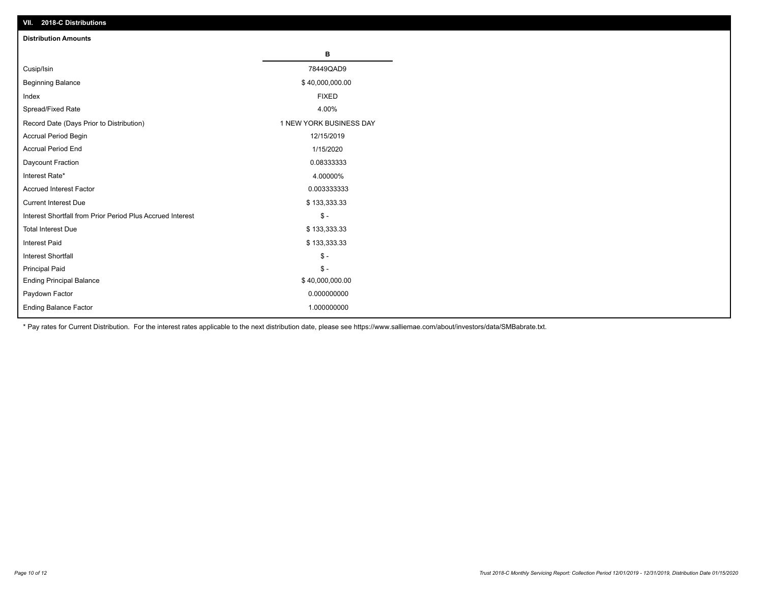| VII. 2018-C Distributions                                  |                         |
|------------------------------------------------------------|-------------------------|
| <b>Distribution Amounts</b>                                |                         |
|                                                            | В                       |
| Cusip/Isin                                                 | 78449QAD9               |
| <b>Beginning Balance</b>                                   | \$40,000,000.00         |
| Index                                                      | <b>FIXED</b>            |
| Spread/Fixed Rate                                          | 4.00%                   |
| Record Date (Days Prior to Distribution)                   | 1 NEW YORK BUSINESS DAY |
| Accrual Period Begin                                       | 12/15/2019              |
| <b>Accrual Period End</b>                                  | 1/15/2020               |
| Daycount Fraction                                          | 0.08333333              |
| Interest Rate*                                             | 4.00000%                |
| <b>Accrued Interest Factor</b>                             | 0.003333333             |
| <b>Current Interest Due</b>                                | \$133,333.33            |
| Interest Shortfall from Prior Period Plus Accrued Interest | $$ -$                   |
| <b>Total Interest Due</b>                                  | \$133,333.33            |
| <b>Interest Paid</b>                                       | \$133,333.33            |
| Interest Shortfall                                         | $\$ -                   |
| <b>Principal Paid</b>                                      | $\frac{1}{2}$           |
| <b>Ending Principal Balance</b>                            | \$40,000,000.00         |
| Paydown Factor                                             | 0.000000000             |
| <b>Ending Balance Factor</b>                               | 1.000000000             |

\* Pay rates for Current Distribution. For the interest rates applicable to the next distribution date, please see https://www.salliemae.com/about/investors/data/SMBabrate.txt.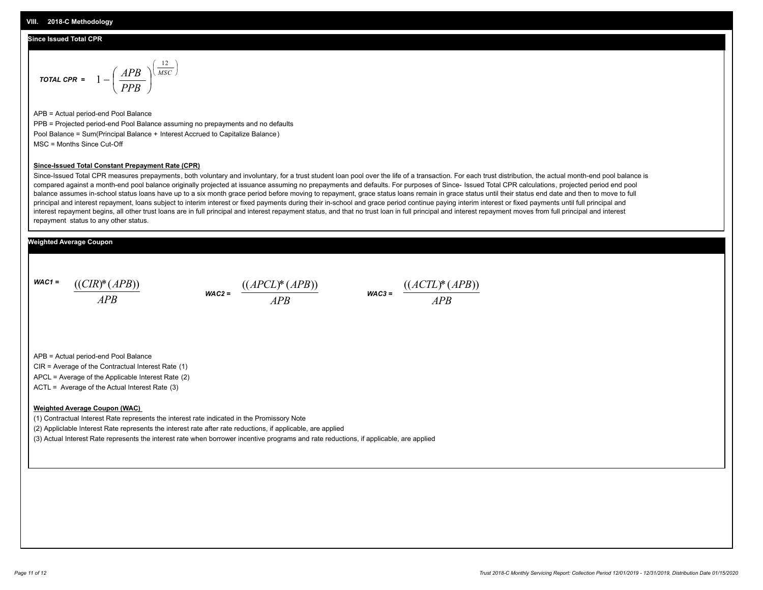#### **Since Issued Total CPR**

$$
\text{total CPR} = 1 - \left(\frac{APB}{PPB}\right)^{\left(\frac{12}{MSC}\right)}
$$

APB = Actual period-end Pool Balance PPB = Projected period-end Pool Balance assuming no prepayments and no defaults Pool Balance = Sum(Principal Balance + Interest Accrued to Capitalize Balance) MSC = Months Since Cut-Off

#### **Since-Issued Total Constant Prepayment Rate (CPR)**

Since-Issued Total CPR measures prepayments, both voluntary and involuntary, for a trust student loan pool over the life of a transaction. For each trust distribution, the actual month-end pool balance is compared against a month-end pool balance originally projected at issuance assuming no prepayments and defaults. For purposes of Since- Issued Total CPR calculations, projected period end pool balance assumes in-school status loans have up to a six month grace period before moving to repayment, grace status loans remain in grace status until their status end date and then to move to full principal and interest repayment, loans subject to interim interest or fixed payments during their in-school and grace period continue paying interim interest or fixed payments until full principal and interest repayment begins, all other trust loans are in full principal and interest repayment status, and that no trust loan in full principal and interest repayment moves from full principal and interest repayment status to any other status.

#### **Weighted Average Coupon**

*WAC1 = APB* ((*CIR*)\*(*APB*))

*WAC2 = APB*  $\frac{((APCL)^{*}(APB))}{APB}$  wac<sub>3</sub> =  $\frac{((ACTL)^{*}(A)P}{APB}$ 



APB = Actual period-end Pool Balance

CIR = Average of the Contractual Interest Rate (1)

APCL = Average of the Applicable Interest Rate (2)

ACTL = Average of the Actual Interest Rate (3)

#### **Weighted Average Coupon (WAC)**

(1) Contractual Interest Rate represents the interest rate indicated in the Promissory Note

(2) Appliclable Interest Rate represents the interest rate after rate reductions, if applicable, are applied

(3) Actual Interest Rate represents the interest rate when borrower incentive programs and rate reductions, if applicable, are applied